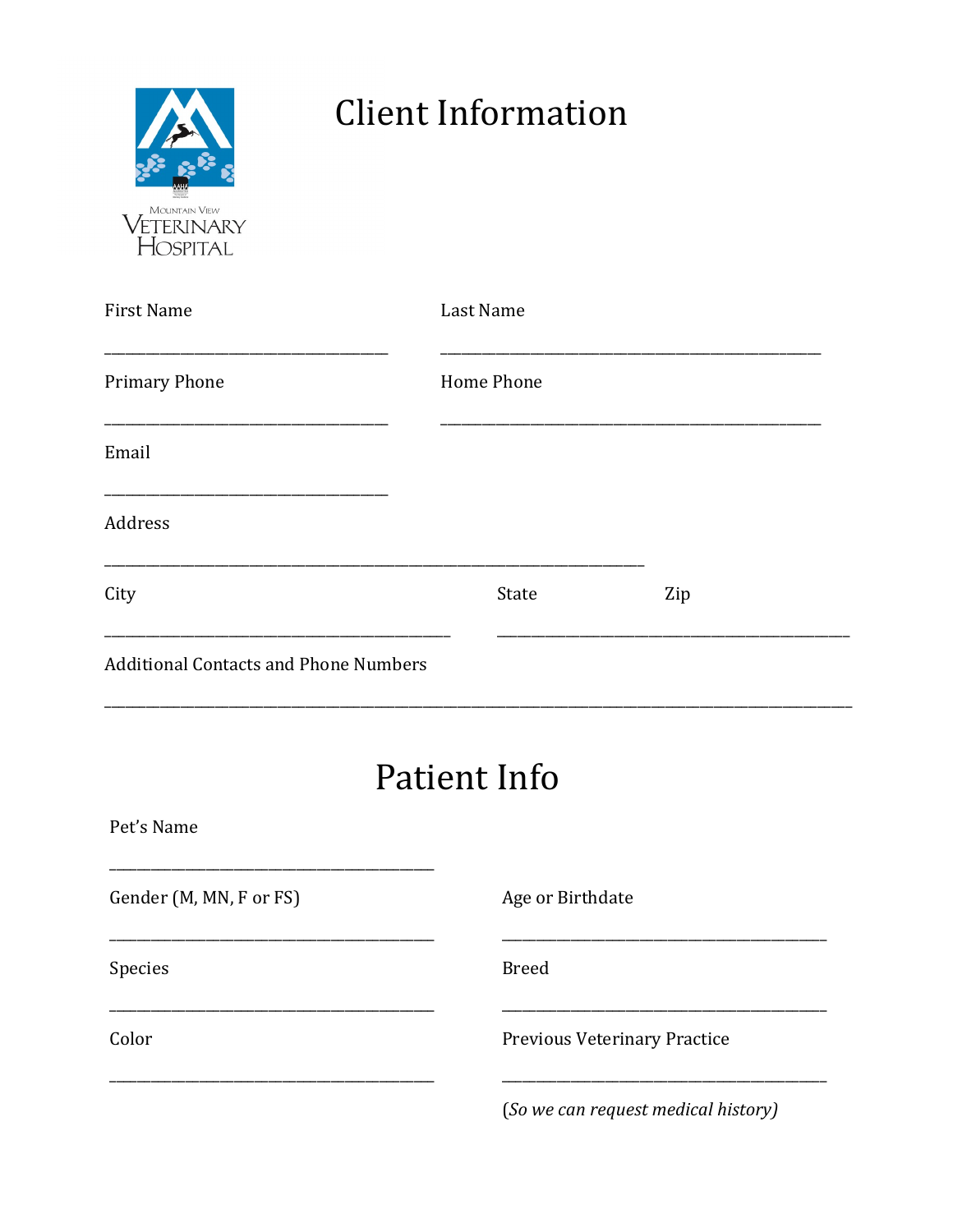| <b>MOUNTAIN VIEW</b><br>ETERINARY<br>OSPITAL |
|----------------------------------------------|

## **Client Information**

| First Name                                   | Last Name                           |                              |     |  |
|----------------------------------------------|-------------------------------------|------------------------------|-----|--|
| Primary Phone                                |                                     | Home Phone                   |     |  |
| Email                                        |                                     |                              |     |  |
| Address                                      |                                     |                              |     |  |
| City                                         |                                     | State                        | Zip |  |
| <b>Additional Contacts and Phone Numbers</b> |                                     |                              |     |  |
| <b>Patient Info</b>                          |                                     |                              |     |  |
| Pet's Name                                   |                                     |                              |     |  |
| Gender (M, MN, F or FS)                      |                                     | Age or Birthdate             |     |  |
| Species                                      |                                     | <b>Breed</b>                 |     |  |
| Color                                        |                                     | Previous Veterinary Practice |     |  |
|                                              | (So we can request medical history) |                              |     |  |